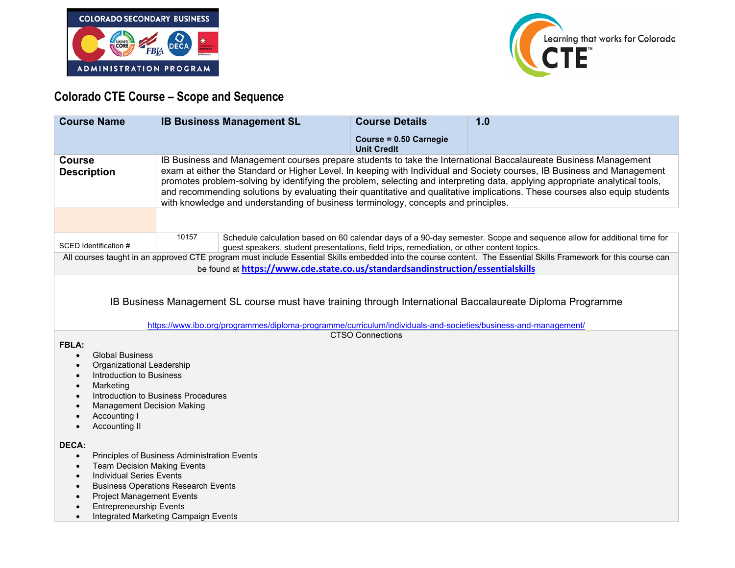



## **Colorado CTE Course – Scope and Sequence**

| <b>Course Name</b>                                                                                                                                                                                                                                                                                             | <b>IB Business Management SL</b>                                                                                                                                                                                                                                                                                                                                                                                                                                                                                                                                                                | <b>Course Details</b>                        | 1.0                                                                                                                   |
|----------------------------------------------------------------------------------------------------------------------------------------------------------------------------------------------------------------------------------------------------------------------------------------------------------------|-------------------------------------------------------------------------------------------------------------------------------------------------------------------------------------------------------------------------------------------------------------------------------------------------------------------------------------------------------------------------------------------------------------------------------------------------------------------------------------------------------------------------------------------------------------------------------------------------|----------------------------------------------|-----------------------------------------------------------------------------------------------------------------------|
|                                                                                                                                                                                                                                                                                                                |                                                                                                                                                                                                                                                                                                                                                                                                                                                                                                                                                                                                 | Course = 0.50 Carnegie<br><b>Unit Credit</b> |                                                                                                                       |
| <b>Course</b><br><b>Description</b>                                                                                                                                                                                                                                                                            | IB Business and Management courses prepare students to take the International Baccalaureate Business Management<br>exam at either the Standard or Higher Level. In keeping with Individual and Society courses, IB Business and Management<br>promotes problem-solving by identifying the problem, selecting and interpreting data, applying appropriate analytical tools,<br>and recommending solutions by evaluating their quantitative and qualitative implications. These courses also equip students<br>with knowledge and understanding of business terminology, concepts and principles. |                                              |                                                                                                                       |
|                                                                                                                                                                                                                                                                                                                |                                                                                                                                                                                                                                                                                                                                                                                                                                                                                                                                                                                                 |                                              |                                                                                                                       |
| SCED Identification #                                                                                                                                                                                                                                                                                          | 10157<br>guest speakers, student presentations, field trips, remediation, or other content topics.                                                                                                                                                                                                                                                                                                                                                                                                                                                                                              |                                              | Schedule calculation based on 60 calendar days of a 90-day semester. Scope and sequence allow for additional time for |
| All courses taught in an approved CTE program must include Essential Skills embedded into the course content. The Essential Skills Framework for this course can<br>be found at https://www.cde.state.co.us/standardsandinstruction/essentialskills                                                            |                                                                                                                                                                                                                                                                                                                                                                                                                                                                                                                                                                                                 |                                              |                                                                                                                       |
| IB Business Management SL course must have training through International Baccalaureate Diploma Programme<br>https://www.ibo.org/programmes/diploma-programme/curriculum/individuals-and-societies/business-and-management/<br><b>CTSO Connections</b>                                                         |                                                                                                                                                                                                                                                                                                                                                                                                                                                                                                                                                                                                 |                                              |                                                                                                                       |
| FBLA:<br><b>Global Business</b><br>$\bullet$<br>Organizational Leadership<br>$\bullet$<br>Introduction to Business<br>Marketing<br>Introduction to Business Procedures<br><b>Management Decision Making</b><br>Accounting I<br>Accounting II<br>$\bullet$                                                      |                                                                                                                                                                                                                                                                                                                                                                                                                                                                                                                                                                                                 |                                              |                                                                                                                       |
| <b>DECA:</b><br>Principles of Business Administration Events<br>$\bullet$<br><b>Team Decision Making Events</b><br><b>Individual Series Events</b><br><b>Business Operations Research Events</b><br><b>Project Management Events</b><br><b>Entrepreneurship Events</b><br>Integrated Marketing Campaign Events |                                                                                                                                                                                                                                                                                                                                                                                                                                                                                                                                                                                                 |                                              |                                                                                                                       |